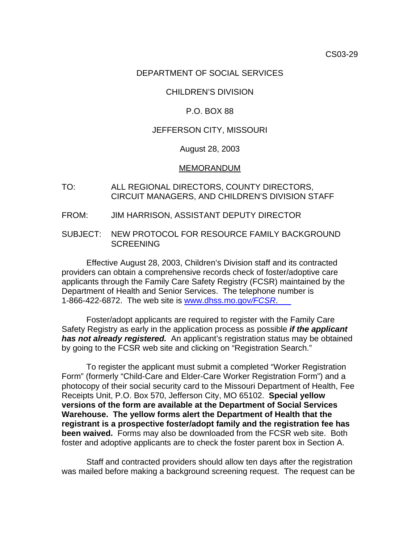## DEPARTMENT OF SOCIAL SERVICES

# CHILDREN'S DIVISION

## P.O. BOX 88

## JEFFERSON CITY, MISSOURI

#### August 28, 2003

#### MEMORANDUM

- TO: ALL REGIONAL DIRECTORS, COUNTY DIRECTORS, CIRCUIT MANAGERS, AND CHILDREN'S DIVISION STAFF
- FROM: JIM HARRISON, ASSISTANT DEPUTY DIRECTOR
- SUBJECT: NEW PROTOCOL FOR RESOURCE FAMILY BACKGROUND SCREENING

 Effective August 28, 2003, Children's Division staff and its contracted providers can obtain a comprehensive records check of foster/adoptive care applicants through the Family Care Safety Registry (FCSR) maintained by the Department of Health and Senior Services. The telephone number is 1-866-422-6872. The web site is [www.dhss.mo.](http://www.dhss.mo.gov/FCSR)gov*/FCSR*.

 Foster/adopt applicants are required to register with the Family Care Safety Registry as early in the application process as possible *if the applicant has not already registered.* An applicant's registration status may be obtained by going to the FCSR web site and clicking on "Registration Search."

 To register the applicant must submit a completed "Worker Registration Form" (formerly "Child-Care and Elder-Care Worker Registration Form") and a photocopy of their social security card to the Missouri Department of Health, Fee Receipts Unit, P.O. Box 570, Jefferson City, MO 65102. **Special yellow versions of the form are available at the Department of Social Services Warehouse. The yellow forms alert the Department of Health that the registrant is a prospective foster/adopt family and the registration fee has been waived.** Forms may also be downloaded from the FCSR web site. Both foster and adoptive applicants are to check the foster parent box in Section A.

Staff and contracted providers should allow ten days after the registration was mailed before making a background screening request. The request can be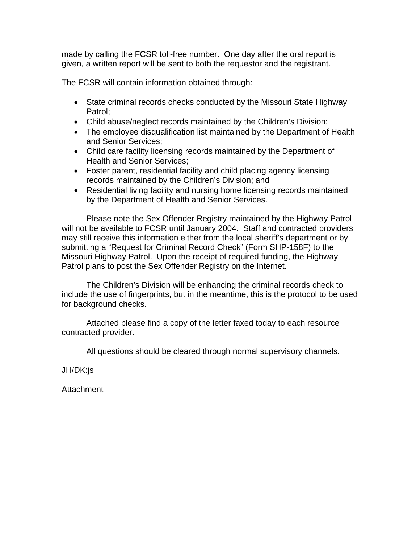made by calling the FCSR toll-free number. One day after the oral report is given, a written report will be sent to both the requestor and the registrant.

The FCSR will contain information obtained through:

- State criminal records checks conducted by the Missouri State Highway Patrol;
- Child abuse/neglect records maintained by the Children's Division;
- The employee disqualification list maintained by the Department of Health and Senior Services;
- Child care facility licensing records maintained by the Department of Health and Senior Services;
- Foster parent, residential facility and child placing agency licensing records maintained by the Children's Division; and
- Residential living facility and nursing home licensing records maintained by the Department of Health and Senior Services.

 Please note the Sex Offender Registry maintained by the Highway Patrol will not be available to FCSR until January 2004. Staff and contracted providers may still receive this information either from the local sheriff's department or by submitting a "Request for Criminal Record Check" (Form SHP-158F) to the Missouri Highway Patrol. Upon the receipt of required funding, the Highway Patrol plans to post the Sex Offender Registry on the Internet.

 The Children's Division will be enhancing the criminal records check to include the use of fingerprints, but in the meantime, this is the protocol to be used for background checks.

 Attached please find a copy of the letter faxed today to each resource contracted provider.

All questions should be cleared through normal supervisory channels.

JH/DK:js

**Attachment**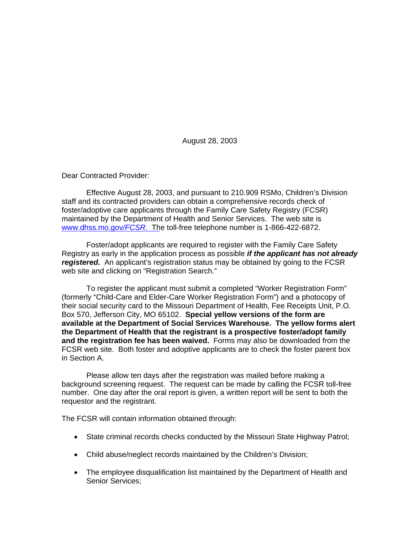August 28, 2003

Dear Contracted Provider:

 Effective August 28, 2003, and pursuant to 210.909 RSMo, Children's Division staff and its contracted providers can obtain a comprehensive records check of foster/adoptive care applicants through the Family Care Safety Registry (FCSR) maintained by the Department of Health and Senior Services. The web site is [www.dhss.mo.](http://www.dhss.mo.gov/FCSR)gov*/FCSR.* The toll-free telephone number is 1-866-422-6872.

 Foster/adopt applicants are required to register with the Family Care Safety Registry as early in the application process as possible *if the applicant has not already registered.* An applicant's registration status may be obtained by going to the FCSR web site and clicking on "Registration Search."

 To register the applicant must submit a completed "Worker Registration Form" (formerly "Child-Care and Elder-Care Worker Registration Form") and a photocopy of their social security card to the Missouri Department of Health, Fee Receipts Unit, P.O. Box 570, Jefferson City, MO 65102. **Special yellow versions of the form are available at the Department of Social Services Warehouse. The yellow forms alert the Department of Health that the registrant is a prospective foster/adopt family and the registration fee has been waived.** Forms may also be downloaded from the FCSR web site. Both foster and adoptive applicants are to check the foster parent box in Section A.

Please allow ten days after the registration was mailed before making a background screening request. The request can be made by calling the FCSR toll-free number. One day after the oral report is given, a written report will be sent to both the requestor and the registrant.

The FCSR will contain information obtained through:

- State criminal records checks conducted by the Missouri State Highway Patrol;
- Child abuse/neglect records maintained by the Children's Division;
- The employee disqualification list maintained by the Department of Health and Senior Services;